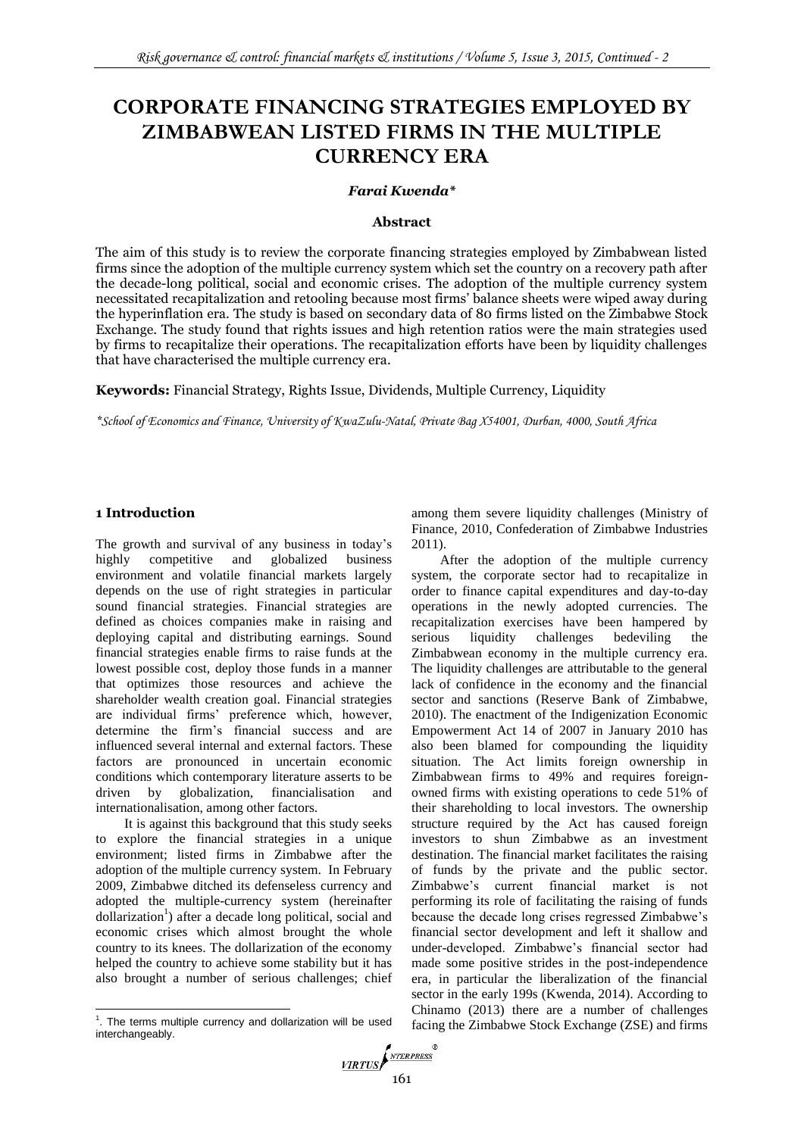# **CORPORATE FINANCING STRATEGIES EMPLOYED BY ZIMBABWEAN LISTED FIRMS IN THE MULTIPLE CURRENCY ERA**

#### *Farai Kwenda\**

#### **Abstract**

The aim of this study is to review the corporate financing strategies employed by Zimbabwean listed firms since the adoption of the multiple currency system which set the country on a recovery path after the decade-long political, social and economic crises. The adoption of the multiple currency system necessitated recapitalization and retooling because most firms' balance sheets were wiped away during the hyperinflation era. The study is based on secondary data of 80 firms listed on the Zimbabwe Stock Exchange. The study found that rights issues and high retention ratios were the main strategies used by firms to recapitalize their operations. The recapitalization efforts have been by liquidity challenges that have characterised the multiple currency era.

**Keywords:** Financial Strategy, Rights Issue, Dividends, Multiple Currency, Liquidity

*\*School of Economics and Finance, University of KwaZulu-Natal, Private Bag X54001, Durban, 4000, South Africa* 

## **1 Introduction**

 $\overline{a}$ 

The growth and survival of any business in today's highly competitive and globalized business environment and volatile financial markets largely depends on the use of right strategies in particular sound financial strategies. Financial strategies are defined as choices companies make in raising and deploying capital and distributing earnings. Sound financial strategies enable firms to raise funds at the lowest possible cost, deploy those funds in a manner that optimizes those resources and achieve the shareholder wealth creation goal. Financial strategies are individual firms' preference which, however, determine the firm's financial success and are influenced several internal and external factors. These factors are pronounced in uncertain economic conditions which contemporary literature asserts to be driven by globalization, financialisation and internationalisation, among other factors.

It is against this background that this study seeks to explore the financial strategies in a unique environment; listed firms in Zimbabwe after the adoption of the multiple currency system. In February 2009, Zimbabwe ditched its defenseless currency and adopted the multiple-currency system (hereinafter dollarization<sup>1</sup>) after a decade long political, social and economic crises which almost brought the whole country to its knees. The dollarization of the economy helped the country to achieve some stability but it has also brought a number of serious challenges; chief

among them severe liquidity challenges [\(Ministry of](#page-5-1)  [Finance, 2010,](#page-5-1) [Confederation of Zimbabwe Industries](#page-5-2)  [2011\)](#page-5-2).

After the adoption of the multiple currency system, the corporate sector had to recapitalize in order to finance capital expenditures and day-to-day operations in the newly adopted currencies. The recapitalization exercises have been hampered by serious liquidity challenges bedeviling the Zimbabwean economy in the multiple currency era. The liquidity challenges are attributable to the general lack of confidence in the economy and the financial sector and sanctions [\(Reserve Bank of Zimbabwe,](#page-5-0)  [2010\)](#page-5-0). The enactment of the Indigenization Economic Empowerment Act 14 of 2007 in January 2010 has also been blamed for compounding the liquidity situation. The Act limits foreign ownership in Zimbabwean firms to 49% and requires foreignowned firms with existing operations to cede 51% of their shareholding to local investors. The ownership structure required by the Act has caused foreign investors to shun Zimbabwe as an investment destination. The financial market facilitates the raising of funds by the private and the public sector. Zimbabwe's current financial market is not performing its role of facilitating the raising of funds because the decade long crises regressed Zimbabwe's financial sector development and left it shallow and under-developed. Zimbabwe's financial sector had made some positive strides in the post-independence era, in particular the liberalization of the financial sector in the early 199s [\(Kwenda, 2014\)](#page-5-3). According to [Chinamo \(2013\)](#page-5-4) there are a number of challenges facing the Zimbabwe Stock Exchange (ZSE) and firms



 $1$ . The terms multiple currency and dollarization will be used interchangeably.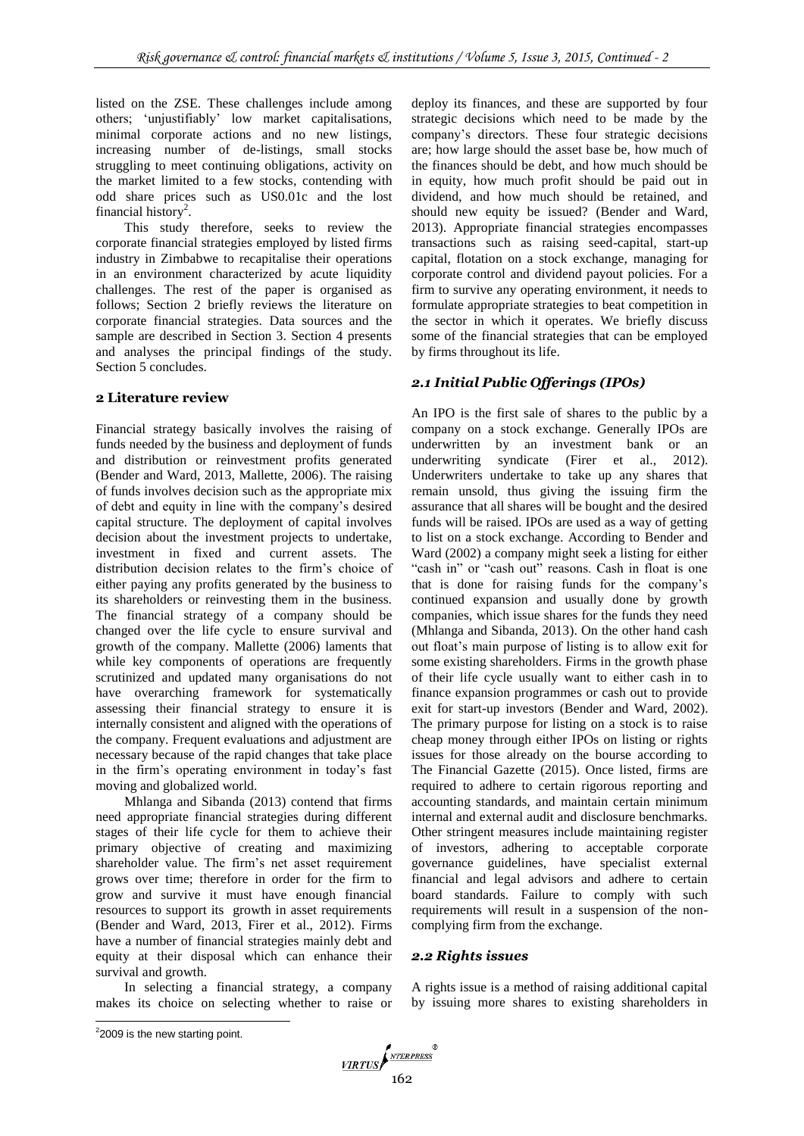listed on the ZSE. These challenges include among others; 'unjustifiably' low market capitalisations, minimal corporate actions and no new listings, increasing number of de-listings, small stocks struggling to meet continuing obligations, activity on the market limited to a few stocks, contending with odd share prices such as US0.01c and the lost financial history<sup>2</sup>.

This study therefore, seeks to review the corporate financial strategies employed by listed firms industry in Zimbabwe to recapitalise their operations in an environment characterized by acute liquidity challenges. The rest of the paper is organised as follows; Section 2 briefly reviews the literature on corporate financial strategies. Data sources and the sample are described in Section 3. Section 4 presents and analyses the principal findings of the study. Section 5 concludes.

## **2 Literature review**

Financial strategy basically involves the raising of funds needed by the business and deployment of funds and distribution or reinvestment profits generated [\(Bender and Ward, 2013,](#page-5-7) [Mallette, 2006\)](#page-5-5). The raising of funds involves decision such as the appropriate mix of debt and equity in line with the company's desired capital structure. The deployment of capital involves decision about the investment projects to undertake, investment in fixed and current assets. The distribution decision relates to the firm's choice of either paying any profits generated by the business to its shareholders or reinvesting them in the business. The financial strategy of a company should be changed over the life cycle to ensure survival and growth of the company. [Mallette \(2006\)](#page-5-5) laments that while key components of operations are frequently scrutinized and updated many organisations do not have overarching framework for systematically assessing their financial strategy to ensure it is internally consistent and aligned with the operations of the company. Frequent evaluations and adjustment are necessary because of the rapid changes that take place in the firm's operating environment in today's fast moving and globalized world.

[Mhlanga and Sibanda \(2013\)](#page-5-10) contend that firms need appropriate financial strategies during different stages of their life cycle for them to achieve their primary objective of creating and maximizing shareholder value. The firm's net asset requirement grows over time; therefore in order for the firm to grow and survive it must have enough financial resources to support its growth in asset requirements [\(Bender and Ward, 2013,](#page-5-7) [Firer et al., 2012\)](#page-5-6). Firms have a number of financial strategies mainly debt and equity at their disposal which can enhance their survival and growth.

In selecting a financial strategy, a company makes its choice on selecting whether to raise or deploy its finances, and these are supported by four strategic decisions which need to be made by the company's directors. These four strategic decisions are; how large should the asset base be, how much of the finances should be debt, and how much should be in equity, how much profit should be paid out in dividend, and how much should be retained, and should new equity be issued? [\(Bender and Ward,](#page-5-7)  [2013\)](#page-5-7). Appropriate financial strategies encompasses transactions such as raising seed-capital, start-up capital, flotation on a stock exchange, managing for corporate control and dividend payout policies. For a firm to survive any operating environment, it needs to formulate appropriate strategies to beat competition in the sector in which it operates. We briefly discuss some of the financial strategies that can be employed by firms throughout its life.

## *2.1 Initial Public Offerings (IPOs)*

An IPO is the first sale of shares to the public by a company on a stock exchange. Generally IPOs are underwritten by an investment bank or an underwriting syndicate [\(Firer et al., 2012\)](#page-5-6). Underwriters undertake to take up any shares that remain unsold, thus giving the issuing firm the assurance that all shares will be bought and the desired funds will be raised. IPOs are used as a way of getting to list on a stock exchange. According to [Bender and](#page-5-8)  Ward (2002) a company might seek a listing for either "cash in" or "cash out" reasons. Cash in float is one that is done for raising funds for the company's continued expansion and usually done by growth companies, which issue shares for the funds they need [\(Mhlanga and Sibanda, 2013\)](#page-5-10). On the other hand cash out float's main purpose of listing is to allow exit for some existing shareholders. Firms in the growth phase of their life cycle usually want to either cash in to finance expansion programmes or cash out to provide exit for start-up investors [\(Bender and Ward, 2002\)](#page-5-8). The primary purpose for listing on a stock is to raise cheap money through either IPOs on listing or rights issues for those already on the bourse according to [The Financial Gazette \(2015\).](#page-5-9) Once listed, firms are required to adhere to certain rigorous reporting and accounting standards, and maintain certain minimum internal and external audit and disclosure benchmarks. Other stringent measures include maintaining register of investors, adhering to acceptable corporate governance guidelines, have specialist external financial and legal advisors and adhere to certain board standards. Failure to comply with such requirements will result in a suspension of the noncomplying firm from the exchange.

## *2.2 Rights issues*

A rights issue is a method of raising additional capital by issuing more shares to existing shareholders in

 $\overline{a}$  $22009$  is the new starting point.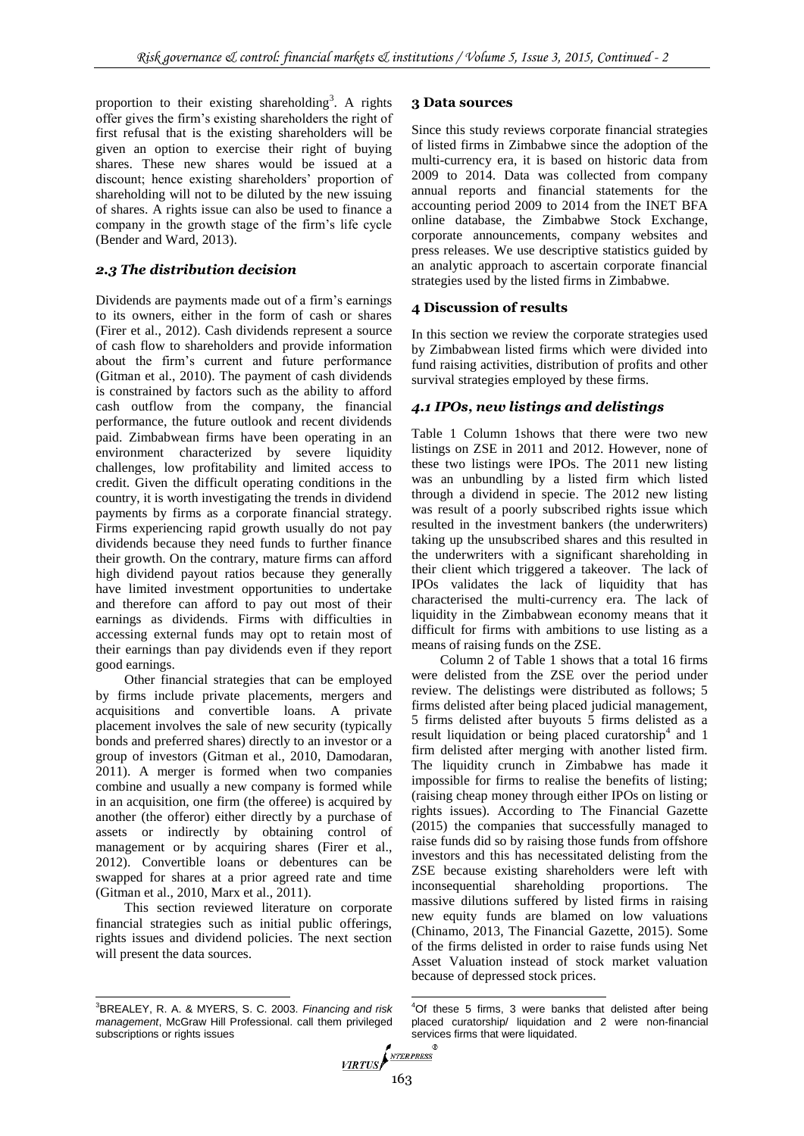proportion to their existing shareholding<sup>3</sup>. A rights offer gives the firm's existing shareholders the right of first refusal that is the existing shareholders will be given an option to exercise their right of buying shares. These new shares would be issued at a discount; hence existing shareholders' proportion of shareholding will not to be diluted by the new issuing of shares. A rights issue can also be used to finance a company in the growth stage of the firm's life cycle [\(Bender and Ward, 2013\)](#page-5-7).

## *2.3 The distribution decision*

Dividends are payments made out of a firm's earnings to its owners, either in the form of cash or shares [\(Firer et al., 2012\)](#page-5-6). Cash dividends represent a source of cash flow to shareholders and provide information about the firm's current and future performance [\(Gitman et al., 2010\)](#page-5-13). The payment of cash dividends is constrained by factors such as the ability to afford cash outflow from the company, the financial performance, the future outlook and recent dividends paid. Zimbabwean firms have been operating in an environment characterized by severe liquidity challenges, low profitability and limited access to credit. Given the difficult operating conditions in the country, it is worth investigating the trends in dividend payments by firms as a corporate financial strategy. Firms experiencing rapid growth usually do not pay dividends because they need funds to further finance their growth. On the contrary, mature firms can afford high dividend payout ratios because they generally have limited investment opportunities to undertake and therefore can afford to pay out most of their earnings as dividends. Firms with difficulties in accessing external funds may opt to retain most of their earnings than pay dividends even if they report good earnings.

Other financial strategies that can be employed by firms include private placements, mergers and acquisitions and convertible loans. A private placement involves the sale of new security (typically bonds and preferred shares) directly to an investor or a group of investors [\(Gitman et al., 2010,](#page-5-13) [Damodaran,](#page-5-12)  [2011\)](#page-5-12). A merger is formed when two companies combine and usually a new company is formed while in an acquisition, one firm (the offeree) is acquired by another (the offeror) either directly by a purchase of assets or indirectly by obtaining control of management or by acquiring shares [\(Firer et al.,](#page-5-6)  [2012\)](#page-5-6). Convertible loans or debentures can be swapped for shares at a prior agreed rate and time [\(Gitman et al., 2010,](#page-5-13) [Marx et al., 2011\)](#page-5-11).

This section reviewed literature on corporate financial strategies such as initial public offerings, rights issues and dividend policies. The next section will present the data sources.

## **3 Data sources**

Since this study reviews corporate financial strategies of listed firms in Zimbabwe since the adoption of the multi-currency era, it is based on historic data from 2009 to 2014. Data was collected from company annual reports and financial statements for the accounting period 2009 to 2014 from the INET BFA online database, the Zimbabwe Stock Exchange, corporate announcements, company websites and press releases. We use descriptive statistics guided by an analytic approach to ascertain corporate financial strategies used by the listed firms in Zimbabwe.

## **4 Discussion of results**

In this section we review the corporate strategies used by Zimbabwean listed firms which were divided into fund raising activities, distribution of profits and other survival strategies employed by these firms.

## *4.1 IPOs, new listings and delistings*

Table 1 Column 1shows that there were two new listings on ZSE in 2011 and 2012. However, none of these two listings were IPOs. The 2011 new listing was an unbundling by a listed firm which listed through a dividend in specie. The 2012 new listing was result of a poorly subscribed rights issue which resulted in the investment bankers (the underwriters) taking up the unsubscribed shares and this resulted in the underwriters with a significant shareholding in their client which triggered a takeover. The lack of IPOs validates the lack of liquidity that has characterised the multi-currency era. The lack of liquidity in the Zimbabwean economy means that it difficult for firms with ambitions to use listing as a means of raising funds on the ZSE.

Column 2 of Table 1 shows that a total 16 firms were delisted from the ZSE over the period under review. The delistings were distributed as follows; 5 firms delisted after being placed judicial management, 5 firms delisted after buyouts 5 firms delisted as a result liquidation or being placed curatorship<sup>4</sup> and 1 firm delisted after merging with another listed firm. The liquidity crunch in Zimbabwe has made it impossible for firms to realise the benefits of listing; (raising cheap money through either IPOs on listing or rights issues). According to [The Financial Gazette](#page-5-9)  (2015) the companies that successfully managed to raise funds did so by raising those funds from offshore investors and this has necessitated delisting from the ZSE because existing shareholders were left with inconsequential shareholding proportions. The massive dilutions suffered by listed firms in raising new equity funds are blamed on low valuations [\(Chinamo, 2013,](#page-5-4) [The Financial Gazette, 2015\)](#page-5-9). Some of the firms delisted in order to raise funds using Net Asset Valuation instead of stock market valuation because of depressed stock prices.

1  $4$ Of these 5 firms, 3 were banks that delisted after being placed curatorship/ liquidation and 2 were non-financial services firms that were liquidated.

 $\overline{a}$ <sup>3</sup>BREALEY, R. A. & MYERS, S. C. 2003. *Financing and risk management*, McGraw Hill Professional. call them privileged subscriptions or rights issues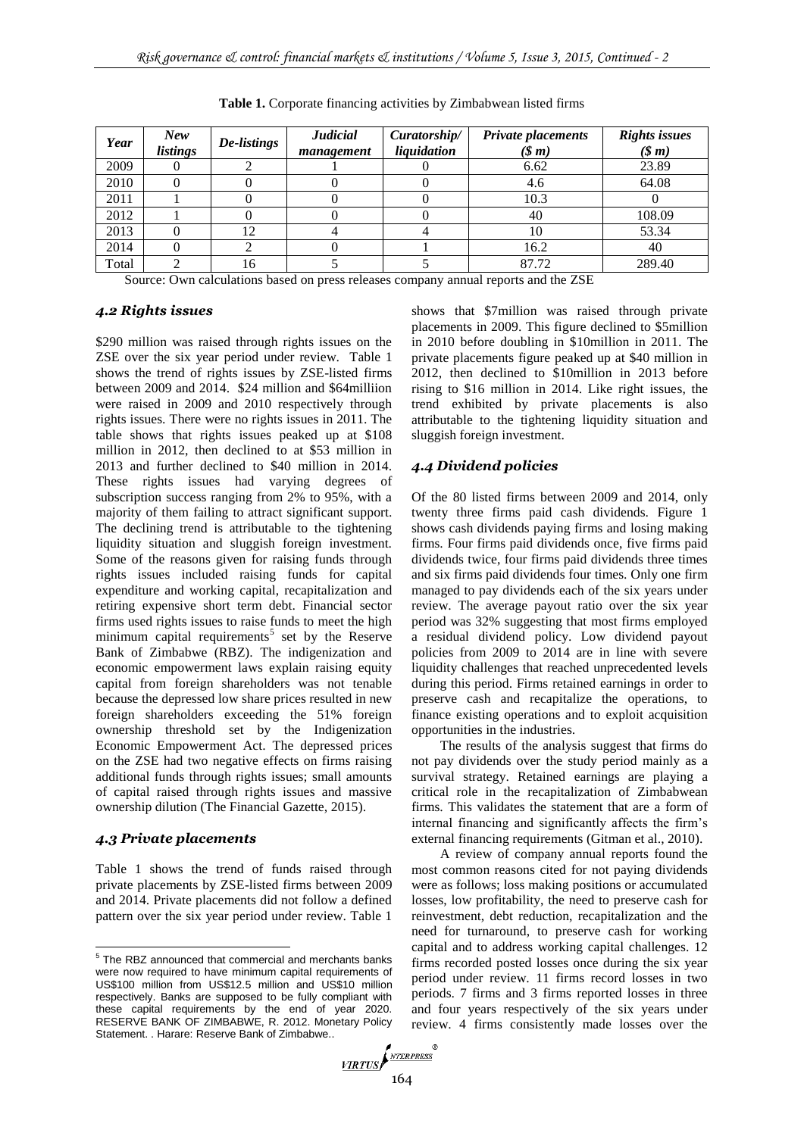| Year  | New<br>listings | De-listings | <b>Judicial</b><br>management | Curatorship/<br>liquidation | <b>Private placements</b><br>$(\text{S } m)$ | <b>Rights issues</b><br>$(\text{\$} m)$ |
|-------|-----------------|-------------|-------------------------------|-----------------------------|----------------------------------------------|-----------------------------------------|
| 2009  |                 |             |                               |                             | 6.62                                         | 23.89                                   |
| 2010  |                 |             |                               |                             | 4.6                                          | 64.08                                   |
| 2011  |                 |             |                               |                             | 10.3                                         |                                         |
| 2012  |                 |             |                               |                             | 40                                           | 108.09                                  |
| 2013  |                 | 12          |                               |                             | 10                                           | 53.34                                   |
| 2014  |                 |             |                               |                             | 16.2                                         | 40                                      |
| Total |                 | 16          |                               |                             | 87.72                                        | 289.40                                  |

**Table 1.** Corporate financing activities by Zimbabwean listed firms

Source: Own calculations based on press releases company annual reports and the ZSE

## *4.2 Rights issues*

\$290 million was raised through rights issues on the ZSE over the six year period under review. Table 1 shows the trend of rights issues by ZSE-listed firms between 2009 and 2014. \$24 million and \$64milliion were raised in 2009 and 2010 respectively through rights issues. There were no rights issues in 2011. The table shows that rights issues peaked up at \$108 million in 2012, then declined to at \$53 million in 2013 and further declined to \$40 million in 2014. These rights issues had varying degrees of subscription success ranging from 2% to 95%, with a majority of them failing to attract significant support. The declining trend is attributable to the tightening liquidity situation and sluggish foreign investment. Some of the reasons given for raising funds through rights issues included raising funds for capital expenditure and working capital, recapitalization and retiring expensive short term debt. Financial sector firms used rights issues to raise funds to meet the high minimum capital requirements<sup>5</sup> set by the Reserve Bank of Zimbabwe (RBZ). The indigenization and economic empowerment laws explain raising equity capital from foreign shareholders was not tenable because the depressed low share prices resulted in new foreign shareholders exceeding the 51% foreign ownership threshold set by the Indigenization Economic Empowerment Act. The depressed prices on the ZSE had two negative effects on firms raising additional funds through rights issues; small amounts of capital raised through rights issues and massive ownership dilution [\(The Financial Gazette, 2015\)](#page-5-9).

## *4.3 Private placements*

Table 1 shows the trend of funds raised through private placements by ZSE-listed firms between 2009 and 2014. Private placements did not follow a defined pattern over the six year period under review. Table 1 shows that \$7million was raised through private placements in 2009. This figure declined to \$5million in 2010 before doubling in \$10million in 2011. The private placements figure peaked up at \$40 million in 2012, then declined to \$10million in 2013 before rising to \$16 million in 2014. Like right issues, the trend exhibited by private placements is also attributable to the tightening liquidity situation and sluggish foreign investment.

## *4.4 Dividend policies*

Of the 80 listed firms between 2009 and 2014, only twenty three firms paid cash dividends. Figure 1 shows cash dividends paying firms and losing making firms. Four firms paid dividends once, five firms paid dividends twice, four firms paid dividends three times and six firms paid dividends four times. Only one firm managed to pay dividends each of the six years under review. The average payout ratio over the six year period was 32% suggesting that most firms employed a residual dividend policy. Low dividend payout policies from 2009 to 2014 are in line with severe liquidity challenges that reached unprecedented levels during this period. Firms retained earnings in order to preserve cash and recapitalize the operations, to finance existing operations and to exploit acquisition opportunities in the industries.

The results of the analysis suggest that firms do not pay dividends over the study period mainly as a survival strategy. Retained earnings are playing a critical role in the recapitalization of Zimbabwean firms. This validates the statement that are a form of internal financing and significantly affects the firm's external financing requirements [\(Gitman et al., 2010\)](#page-5-13).

A review of company annual reports found the most common reasons cited for not paying dividends were as follows; loss making positions or accumulated losses, low profitability, the need to preserve cash for reinvestment, debt reduction, recapitalization and the need for turnaround, to preserve cash for working capital and to address working capital challenges. 12 firms recorded posted losses once during the six year period under review. 11 firms record losses in two periods. 7 firms and 3 firms reported losses in three and four years respectively of the six years under review. 4 firms consistently made losses over the

 5 The RBZ announced that commercial and merchants banks were now required to have minimum capital requirements of US\$100 million from US\$12.5 million and US\$10 million respectively. Banks are supposed to be fully compliant with these capital requirements by the end of year 2020. RESERVE BANK OF ZIMBABWE, R. 2012. Monetary Policy Statement. . Harare: Reserve Bank of Zimbabwe..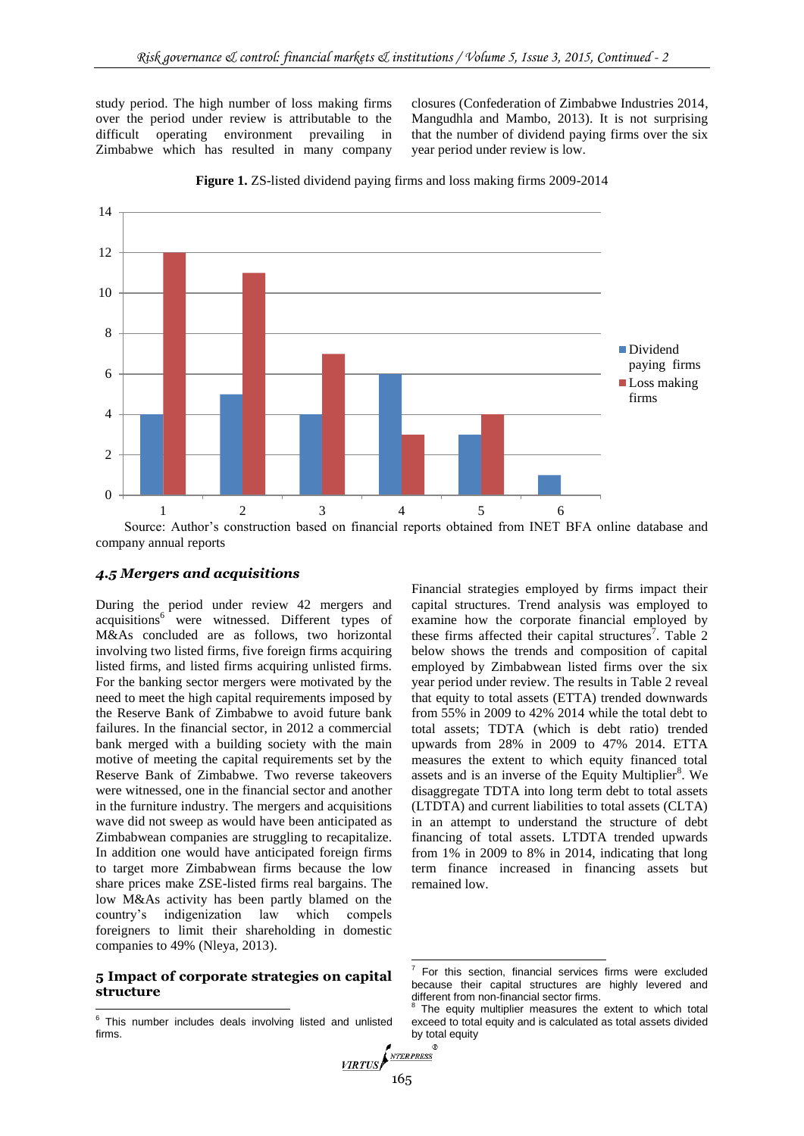study period. The high number of loss making firms over the period under review is attributable to the difficult operating environment prevailing in Zimbabwe which has resulted in many company closures [\(Confederation of Zimbabwe Industries 2014,](#page-5-15) [Mangudhla and Mambo, 2013\)](#page-5-14). It is not surprising that the number of dividend paying firms over the six year period under review is low.



**Figure 1.** ZS-listed dividend paying firms and loss making firms 2009-2014

Source: Author's construction based on financial reports obtained from INET BFA online database and company annual reports

## *4.5 Mergers and acquisitions*

During the period under review 42 mergers and acquisitions<sup>6</sup> were witnessed. Different types of M&As concluded are as follows, two horizontal involving two listed firms, five foreign firms acquiring listed firms, and listed firms acquiring unlisted firms. For the banking sector mergers were motivated by the need to meet the high capital requirements imposed by the Reserve Bank of Zimbabwe to avoid future bank failures. In the financial sector, in 2012 a commercial bank merged with a building society with the main motive of meeting the capital requirements set by the Reserve Bank of Zimbabwe. Two reverse takeovers were witnessed, one in the financial sector and another in the furniture industry. The mergers and acquisitions wave did not sweep as would have been anticipated as Zimbabwean companies are struggling to recapitalize. In addition one would have anticipated foreign firms to target more Zimbabwean firms because the low share prices make ZSE-listed firms real bargains. The low M&As activity has been partly blamed on the country's indigenization law which compels foreigners to limit their shareholding in domestic companies to 49% [\(Nleya, 2013\)](#page-5-16).

#### **5 Impact of corporate strategies on capital structure**

Financial strategies employed by firms impact their capital structures. Trend analysis was employed to examine how the corporate financial employed by these firms affected their capital structures<sup>7</sup>. Table  $2$ below shows the trends and composition of capital employed by Zimbabwean listed firms over the six year period under review. The results in Table 2 reveal that equity to total assets (ETTA) trended downwards from 55% in 2009 to 42% 2014 while the total debt to total assets; TDTA (which is debt ratio) trended upwards from 28% in 2009 to 47% 2014. ETTA measures the extent to which equity financed total assets and is an inverse of the Equity Multiplier<sup>8</sup>. We disaggregate TDTA into long term debt to total assets (LTDTA) and current liabilities to total assets (CLTA) in an attempt to understand the structure of debt financing of total assets. LTDTA trended upwards from 1% in 2009 to 8% in 2014, indicating that long term finance increased in financing assets but remained low.

1

<sup>&</sup>lt;sup>6</sup> This number includes deals involving listed and unlisted firms.

<sup>7</sup> For this section, financial services firms were excluded because their capital structures are highly levered and different from non-financial sector firms.<br><sup>8</sup> The equity multiplier measures the

The equity multiplier measures the extent to which total exceed to total equity and is calculated as total assets divided by total equity